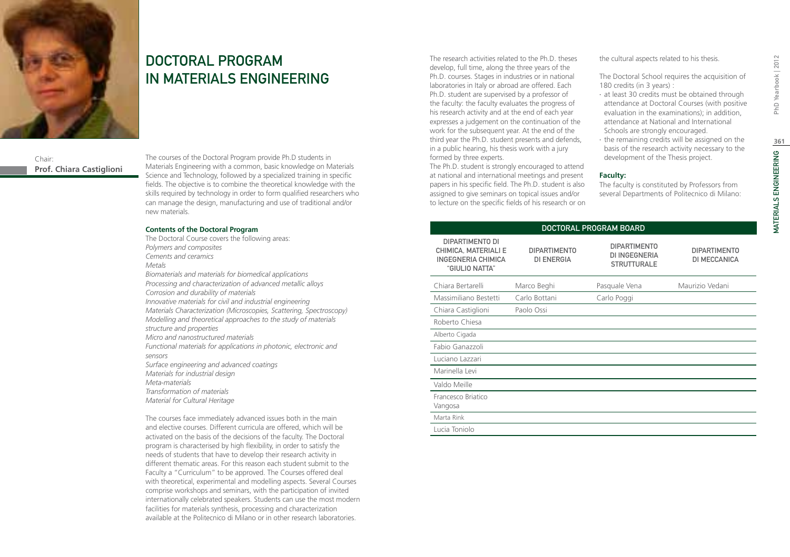

# DOCTORAL PROGRAM IN MATERIALS ENGINEERING

Chair: **Prof. Chiara Castiglioni** The courses of the Doctoral Program provide Ph.D students in Materials Engineering with a common, basic knowledge on Materials Science and Technology, followed by a specialized training in specific fields. The objective is to combine the theoretical knowledge with the skills required by technology in order to form qualified researchers who can manage the design, manufacturing and use of traditional and/or new materials.

## **Contents of the Doctoral Program**

The Doctoral Course covers the following areas: *Polymers and composites Cements and ceramics Metals Biomaterials and materials for biomedical applications Processing and characterization of advanced metallic alloys Corrosion and durability of materials Innovative materials for civil and industrial engineering Materials Characterization (Microscopies, Scattering, Spectroscopy) Modelling and theoretical approaches to the study of materials structure and properties Micro and nanostructured materials Functional materials for applications in photonic, electronic and sensors Surface engineering and advanced coatings Materials for industrial design Meta-materials Transformation of materials Material for Cultural Heritage* 

The courses face immediately advanced issues both in the main and elective courses. Different curricula are offered, which will be activated on the basis of the decisions of the faculty. The Doctoral program is characterised by high flexibility, in order to satisfy the needs of students that have to develop their research activity in different thematic areas. For this reason each student submit to the Faculty a "Curriculum" to be approved. The Courses offered deal with theoretical, experimental and modelling aspects. Several Courses comprise workshops and seminars, with the participation of invited internationally celebrated speakers. Students can use the most modern facilities for materials synthesis, processing and characterization available at the Politecnico di Milano or in other research laboratories.

The research activities related to the Ph.D. theses develop, full time, along the three years of the Ph.D. courses. Stages in industries or in national laboratories in Italy or abroad are offered. Each Ph.D. student are supervised by a professor of the faculty: the faculty evaluates the progress of his research activity and at the end of each year expresses a judgement on the continuation of the work for the subsequent year. At the end of the third year the Ph.D. student presents and defends, in a public hearing, his thesis work with a jury formed by three experts.

The Ph.D. student is strongly encouraged to attend at national and international meetings and present papers in his specific field. The Ph.D. student is also assigned to give seminars on topical issues and/or to lecture on the specific fields of his research or on the cultural aspects related to his thesis.

The Doctoral School requires the acquisition of 180 credits (in 3 years) :

- ∙ at least 30 credits must be obtained through attendance at Doctoral Courses (with positive evaluation in the examinations); in addition, attendance at National and International Schools are strongly encouraged.
- ∙ the remaining credits will be assigned on the basis of the research activity necessary to the development of the Thesis project.

## **Faculty:**

The faculty is constituted by Professors from several Departments of Politecnico di Milano:

| DOCTORAL PROGRAM BOARD                                                                        |                                          |                                                                   |                                     |  |
|-----------------------------------------------------------------------------------------------|------------------------------------------|-------------------------------------------------------------------|-------------------------------------|--|
| DIPARTIMENTO DI<br><b>CHIMICA, MATERIALI E</b><br><b>INGEGNERIA CHIMICA</b><br>"GIULIO NATTA" | <b>DIPARTIMENTO</b><br><b>DI ENERGIA</b> | <b>DIPARTIMENTO</b><br><b>DI INGEGNERIA</b><br><b>STRUTTURALE</b> | <b>DIPARTIMENTO</b><br>DI MECCANICA |  |
| Chiara Bertarelli                                                                             | Marco Beghi                              | Pasquale Vena                                                     | Maurizio Vedani                     |  |
| Massimiliano Bestetti                                                                         | Carlo Bottani                            | Carlo Poggi                                                       |                                     |  |
| Chiara Castiglioni                                                                            | Paolo Ossi                               |                                                                   |                                     |  |
| Roberto Chiesa                                                                                |                                          |                                                                   |                                     |  |
| Alberto Cigada                                                                                |                                          |                                                                   |                                     |  |
| Fabio Ganazzoli                                                                               |                                          |                                                                   |                                     |  |
| Luciano Lazzari                                                                               |                                          |                                                                   |                                     |  |
| Marinella Levi                                                                                |                                          |                                                                   |                                     |  |
| Valdo Meille                                                                                  |                                          |                                                                   |                                     |  |
| Francesco Briatico<br>Vangosa                                                                 |                                          |                                                                   |                                     |  |
| Marta Rink                                                                                    |                                          |                                                                   |                                     |  |
| Lucia Toniolo                                                                                 |                                          |                                                                   |                                     |  |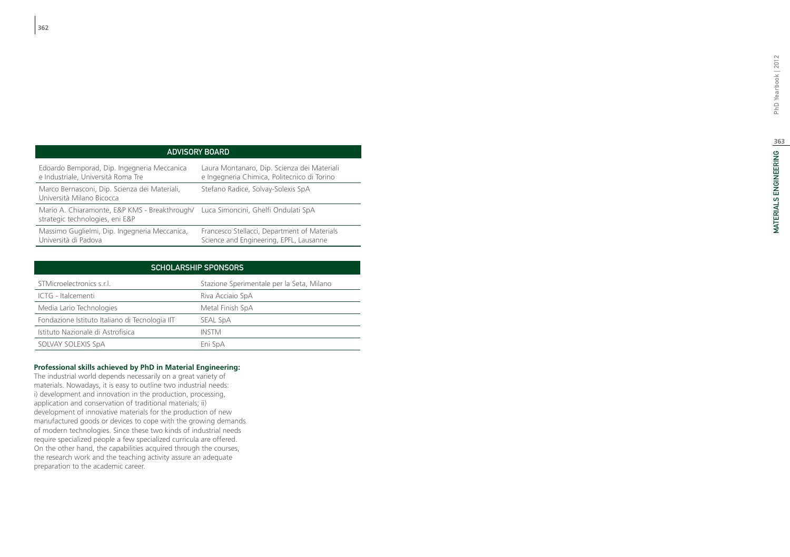## ADVISORY BO

| Edoardo Bemporad, Dip. Ingegneria Meccanica                                                                          | Laura Montanaro, Dip. Scienza dei Materiali  |
|----------------------------------------------------------------------------------------------------------------------|----------------------------------------------|
| e Industriale, Università Roma Tre                                                                                   | e Ingegneria Chimica, Politecnico di Torino  |
| Marco Bernasconi, Dip. Scienza dei Materiali,<br>Università Milano Bicocca                                           | Stefano Radice, Solvay-Solexis SpA           |
| Mario A. Chiaramonte, E&P KMS - Breakthrough/ Luca Simoncini, Ghelfi Ondulati SpA<br>strategic technologies, eni E&P |                                              |
| Massimo Guglielmi, Dip. Ingegneria Meccanica,                                                                        | Francesco Stellacci, Department of Materials |
| Università di Padova                                                                                                 | Science and Engineering, EPFL, Lausanne      |

| <b>SCHOLARSHIP SPONSORS</b>                    |                                           |  |  |
|------------------------------------------------|-------------------------------------------|--|--|
| STMicroelectronics s.r.l.                      | Stazione Sperimentale per la Seta, Milano |  |  |
| ICTG - Italcementi                             | Riva Acciaio SpA                          |  |  |
| Media Lario Technologies                       | Metal Finish SpA                          |  |  |
| Fondazione Istituto Italiano di Tecnologia IIT | SEAL SpA                                  |  |  |
| Istituto Nazionale di Astrofisica              | INSTM                                     |  |  |
| SOLVAY SOLEXIS SpA                             | Eni SpA                                   |  |  |

## **Professional skills achieved by PhD in Material Engineering:**

The industrial world depends necessarily on a great variety of materials. Nowadays, it is easy to outline two industrial needs: i) development and innovation in the production, processing, application and conservation of traditional materials; ii) development of innovative materials for the production of new manufactured goods or devices to cope with the growing demands of modern technologies. Since these two kinds of industrial needs require specialized people a few specialized curricula are offered. On the other hand, the capabilities acquired through the courses, the research work and the teaching activity assure an adequate preparation to the academic career.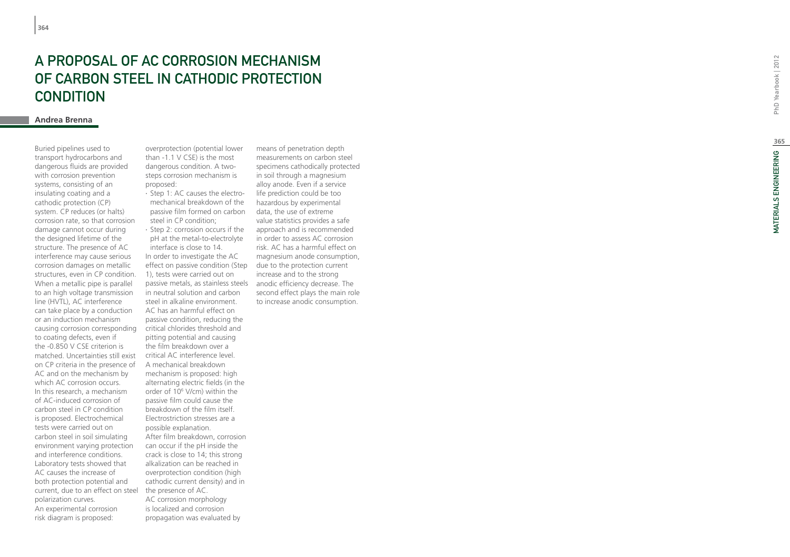# A proposal of AC corrosion mec hanism OF CARBON STEEL IN CATHODIC P **CONDITION**

## **Andrea Brenna**

Buried pipelines used to transport hydrocarbons and dangerous fluids are provided with corrosion prevention systems, consisting of an insulating coating and a cathodic protection (CP) system. CP reduces (or halts) corrosion rate, so that corrosion damage cannot occur during the designed lifetime of the structure. The presence of AC interference may cause serious corrosion damages on metallic structures, even in CP condition. When a metallic pipe is parallel to an high voltage transmission line (HVTL), AC interference can take place by a conduction or an induction mechanism causing corrosion corresponding to coating defects, even if the -0.850 V CSE criterion is matched. Uncertainties still exist on CP criteria in the presence of AC and on the mechanism by which AC corrosion occurs. In this research, a mechanism of AC-induced corrosion of carbon steel in CP condition is proposed. Electrochemical tests were carried out on carbon steel in soil simulating environment varying protection and interference conditions. Laboratory tests showed that AC causes the increase of both protection potential and current, due to an effect on steel polarization curves. An experimental corrosion risk diagram is proposed:

overprotection (potential lower than -1.1 V CSE) is the most dangerous condition. A twosteps corrosion mechanism is proposed:

∙ Step 1: AC causes the electromechanical breakdown of the passive film formed on carbon steel in CP condition;

effect on passive condition (Step  $\theta$  due to the protection current ∙ Step 2: corrosion occurs if the pH at the metal-to-electrolyte interface is close to 14. In order to investigate the AC 1), tests were carried out on passive metals, as stainless steels in neutral solution and carbon steel in alkaline environment. AC has an harmful effect on passive condition, reducing the critical chlorides threshold and pitting potential and causing the film breakdown over a critical AC interference level. A mechanical breakdown mechanism is proposed: high alternating electric fields (in the order of 10 6 V/cm) within the passive film could cause the breakdown of the film itself. Electrostriction stresses are a possible explanation. After film breakdown, corrosion can occur if the pH inside the crack is close to 14; this strong alkalization can be reached in overprotection condition (high cathodic current density) and in the presence of AC.

AC corrosion morphology is localized and corrosion propagation was evaluated by

means of penetration depth measurements on carbon steel specimens cathodically protected in soil through a magnesium alloy anode. Even if a service life prediction could be too hazardous by experimental data, the use of extreme value statistics provides a safe approach and is recommended in order to assess AC corrosion risk. AC has a harmful effect on magnesium anode consumption, increase and to the strong anodic efficiency decrease. The second effect plays the main role to increase anodic consumption.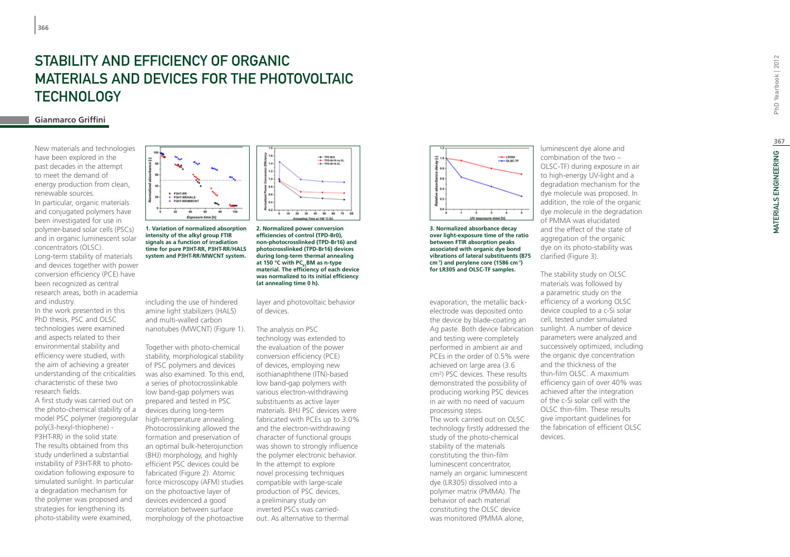# STABILITY AND EFFICIENCY O F ORGANIC MATERIALS AND DE VICES FOR T HE P HOTO VOLTAIC TEC HNOLOG Y

## **Gianmarco Griffini**

New materials and technologies have been explored in the past decades in the attempt to meet the demand of energy production from clean, renewable sources. In particular, organic materials and conjugated polymers have been investigated for use in polymer-based solar cells (PSCs) and in organic luminescent solar concentrators (OLSC). Long-term stability of materials and devices together with power conversion efficiency (PCE) have been recognized as central research areas, both in academia and industry.

In the work presented in this PhD thesis, PSC and OLSC technologies were examined and aspects related to their environmental stability and efficiency were studied, with the aim of achieving a greater understanding of the criticalities characteristic of these two research fields.

A first study was carried out on the photo-chemical stability of a model PSC polymer (regioregular poly(3-hexyl-thiophene) - P3HT-RR) in the solid state. The results obtained from this study underlined a substantial instability of P3HT-RR to photooxidation following exposure to simulated sunlight. In particular a degradation mechanism for the polymer was proposed and strategies for lengthening its photo-stability were examined,



**1. Variation of normalized absorption intensity of the alkyl group FTIR signals as a function of irradiation time for pure P3HT-RR, P3HT-RR/HALS system and P3HT-RR/MWCNT system.**

including the use of hindered amine light stabilizers (HALS) and multi-walled carbon nanotubes (MWCNT) (Figure 1).

Together with photo-chemical stability, morphological stability of PSC polymers and devices was also examined. To this end, a series of photocrosslinkable low band-gap polymers was prepared and tested in PSC devices during long-term high-temperature annealing. Photocrosslinking allowed the formation and preservation of an optimal bulk-heterojunction (BHJ) morphology, and highly efficient PSC devices could be fabricated (Figure 2). Atomic force microscopy (AFM) studies on the photoactive layer of devices evidenced a good correlation between surface morphology of the photoactive



**2. Normalized power conversion efficiencies of control (TPD-Br0), non-photocrosslinked (TPD-Br16) and photocrosslinked (TPD-Br16) devices during long-term thermal annealing**  at 150 °C with PC<sub>6</sub>, BM as n-type **material. The efficiency of each device was normalized to its initial efficiency (at annealing time 0 h).**

layer and photovoltaic behavior of devices.

## The analysis on PSC technology was extended to the evaluation of the power conversion efficiency (PCE) of devices, employing new isothianaphthene (ITN)-based low band-gap polymers with various electron-withdrawing substituents as active layer materials. BHJ PSC devices were fabricated with PCEs up to 3.0% and the electron-withdrawing character of functional groups was shown to strongly influence the polymer electronic behavior. In the attempt to explore novel processing techniques compatible with large-scale production of PSC devices, a preliminary study on inverted PSCs was carriedout. As alternative to thermal



**3. Normalized absorbance decay over light-exposure time of the ratio between FTIR absorption peaks associated with organic dye bond vibrations of lateral substituents (875 cm-1) and perylene core (1586 cm-1) for LR305 and OLSC-TF samples.**

Ag paste. Both device fabrication sunlight. A number of device evaporation, the metallic backelectrode was deposited onto the device by blade-coating an and testing were completely performed in ambient air and PCEs in the order of 0.5% were achieved on large area (3.6 cm 2 ) PSC devices. These results demonstrated the possibility of producing working PSC devices in air with no need of vacuum processing steps. The work carried out on OLSC technology firstly addressed the study of the photo-chemical stability of the materials constituting the thin-film luminescent concentrator, namely an organic luminescent dye (LR305) dissolved into a polymer matrix (PMMA). The behavior of each material constituting the OLSC device was monitored (PMMA alone,

luminescent dye alone and combination of the two – OLSC-TF) during exposure in air to high-energy UV-light and a degradation mechanism for the dye molecule was proposed. In addition, the role of the organic dye molecule in the degradation of PMMA was elucidated and the effect of the state of aggregation of the organic dye on its photo-stability was clarified (Figure 3).

The stability study on OLSC materials was followed by a parametric study on the efficiency of a working OLSC device coupled to a c-Si solar cell, tested under simulated parameters were analyzed and successively optimized, including the organic dye concentration and the thickness of the thin-film OLSC. A maximum efficiency gain of over 40% was achieved after the integration of the c-Si solar cell with the OLSC thin-film. These results give important guidelines for the fabrication of efficient OLSC devices.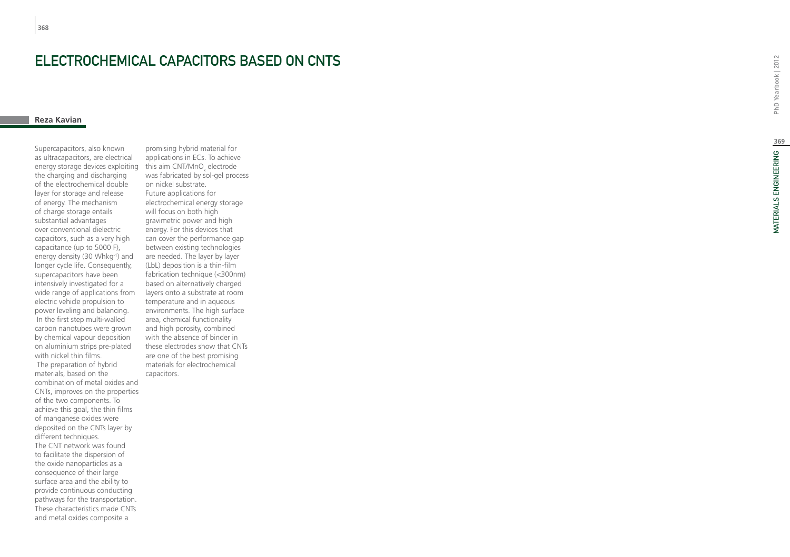# ELECTROCHEMICAL CAPACITORS BASED ON CNTS<br>Reza Kavian

Supercapacitors, also known as ultracapacitors, are electrical energy storage devices exploiting the charging and discharging of the electrochemical double layer for storage and release of energy. The mechanism of charge storage entails substantial advantages over conventional dielectric capacitors, such as a very high capacitance (up to 5000 F), energy density (30 Whkg<sup>-1</sup>) and longer cycle life. Consequently, supercapacitors have been intensively investigated for a wide range of applications from electric vehicle propulsion to power leveling and balancing. In the first step multi-walled carbon nanotubes were grown by chemical vapour deposition on aluminium strips pre-plated with nickel thin films. The preparation of hybrid materials, based on the combination of metal oxides and CNTs, improves on the properties of the two components. To achieve this goal, the thin films of manganese oxides were deposited on the CNTs layer by different techniques. The CNT network was found to facilitate the dispersion of the oxide nanoparticles as a consequence of their large surface area and the ability to provide continuous conducting pathways for the transportation. These characteristics made CNTs and metal oxides composite a

promising hybrid material for applications in ECs. To achieve this aim CNT/MnO<sub>x</sub> electrode was fabricated by sol-gel process on nickel substrate. Future applications for electrochemical energy storage will focus on both high gravimetric power and high energy. For this devices that can cover the performance gap between existing technologies are needed. The layer by layer (LbL) deposition is a thin-film fabrication technique (<300nm) based on alternatively charged layers onto a substrate at room temperature and in aqueous environments. The high surface area, chemical functionality and high porosity, combined with the absence of binder in these electrodes show that CNTs are one of the best promising materials for electrochemical capacitors.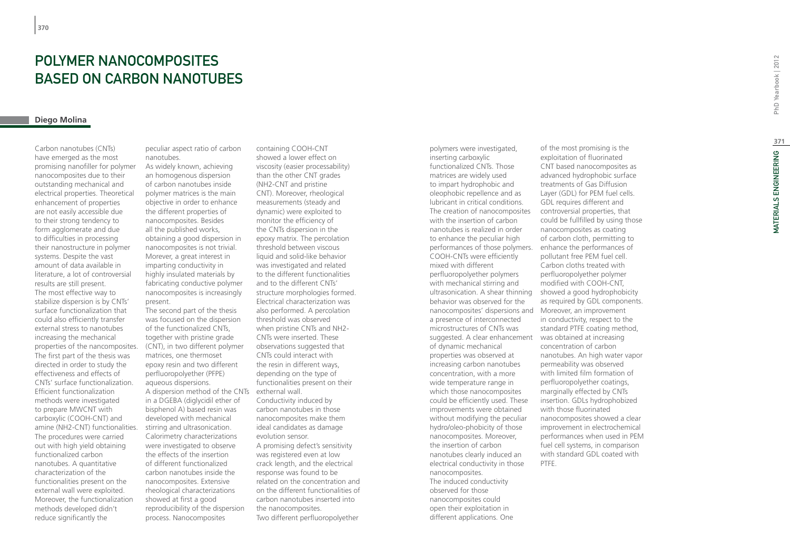# Polymer Nanocomposites based on Carbon Nanotubes

## **Diego Molina**

Carbon nanotubes (CNTs) have emerged as the most promising nanofiller for polymer nanocomposites due to their outstanding mechanical and electrical properties. Theoretical enhancement of properties are not easily accessible due to their strong tendency to form agglomerate and due to difficulties in processing their nanostructure in polymer systems. Despite the vast amount of data available in literature, a lot of controversial results are still present. The most effective way to stabilize dispersion is by CNTs' surface functionalization that could also efficiently transfer external stress to nanotubes increasing the mechanical properties of the nancomposites. The first part of the thesis was directed in order to study the effectiveness and effects of CNTs' surface functionalization. Efficient functionalization methods were investigated to prepare MWCNT with carboxylic (COOH-CNT) and amine (NH2-CNT) functionalities. The procedures were carried out with high yield obtaining functionalized carbon nanotubes. A quantitative characterization of the functionalities present on the external wall were exploited. Moreover, the functionalization methods developed didn't reduce significantly the

peculiar aspect ratio of carbon nanotubes.

As widely known, achieving an homogenous dispersion of carbon nanotubes inside polymer matrices is the main objective in order to enhance the different properties of nanocomposites. Besides all the published works, obtaining a good dispersion in nanocomposites is not trivial. Morever, a great interest in imparting conductivity in highly insulated materials by fabricating conductive polymer nanocomposites is increasingly present.

A dispersion method of the CNTs exthernal wall. The second part of the thesis was focused on the dispersion of the functionalized CNTs, together with pristine grade (CNT), in two different polymer matrices, one thermoset epoxy resin and two different perfluoropolyether (PFPE) aqueous dispersions. in a DGEBA (diglycidil ether of bisphenol A) based resin was developed with mechanical stirring and ultrasonication. Calorimetry characterizations were investigated to observe the effects of the insertion of different functionalized carbon nanotubes inside the nanocomposites. Extensive rheological characterizations showed at first a good reproducibility of the dispersion process. Nanocomposites

containing COOH-CNT showed a lower effect on viscosity (easier processability) than the other CNT grades (NH2-CNT and pristine CNT). Moreover, rheological measurements (steady and dynamic) were exploited to monitor the efficiency of the CNTs dispersion in the epoxy matrix. The percolation threshold between viscous liquid and solid-like behavior was investigated and related to the different functionalities and to the different CNTs' structure morphologies formed. Electrical characterization was also performed. A percolation threshold was observed when pristine CNTs and NH2- CNTs were inserted. These observations suggested that CNTs could interact with the resin in different ways, depending on the type of functionalities present on their Conductivity induced by carbon nanotubes in those nanocomposites make them ideal candidates as damage evolution sensor. A promising defect's sensitivity was registered even at low crack length, and the electrical response was found to be related on the concentration and on the different functionalities of carbon nanotubes inserted into the nanocomposites. Two different perfluoropolyether

performances of those polymers. enhance the performances of nanocomposites' dispersions and Moreover, an improvement suggested. A clear enhancement was obtained at increasing polymers were investigated, inserting carboxylic functionalized CNTs. Those matrices are widely used to impart hydrophobic and oleophobic repellence and as lubricant in critical conditions. The creation of nanocomposites with the insertion of carbon nanotubes is realized in order to enhance the peculiar high COOH-CNTs were efficiently mixed with different perfluoropolyether polymers with mechanical stirring and behavior was observed for the a presence of interconnected microstructures of CNTs was of dynamic mechanical properties was observed at increasing carbon nanotubes concentration, with a more wide temperature range in which those nanocomposites could be efficiently used. These improvements were obtained without modifying the peculiar hydro/oleo-phobicity of those nanocomposites. Moreover, the insertion of carbon nanotubes clearly induced an electrical conductivity in those nanocomposites. The induced conductivity observed for those nanocomposites could open their exploitation in different applications. One

of the most promising is the exploitation of fluorinated CNT based nanocomposites as advanced hydrophobic surface treatments of Gas Diffusion Layer (GDL) for PEM fuel cells. GDL requires different and controversial properties, that could be fullfilled by using those nanocomposites as coating of carbon cloth, permitting to pollutant free PEM fuel cell. Carbon cloths treated with perfluoropolyether polymer modified with COOH-CNT, ultrasonication. A shear thinning showed a good hydrophobicity as required by GDL components. in conductivity, respect to the standard PTFE coating method, concentration of carbon nanotubes. An high water vapor permeability was observed with limited film formation of perfluoropolyether coatings, marginally effected by CNTs insertion. GDLs hydrophobized with those fluorinated nanocomposites showed a clear improvement in electrochemical performances when used in PEM fuel cell systems, in comparison with standard GDL coated with PTFE.

PhD Yearbook | 2012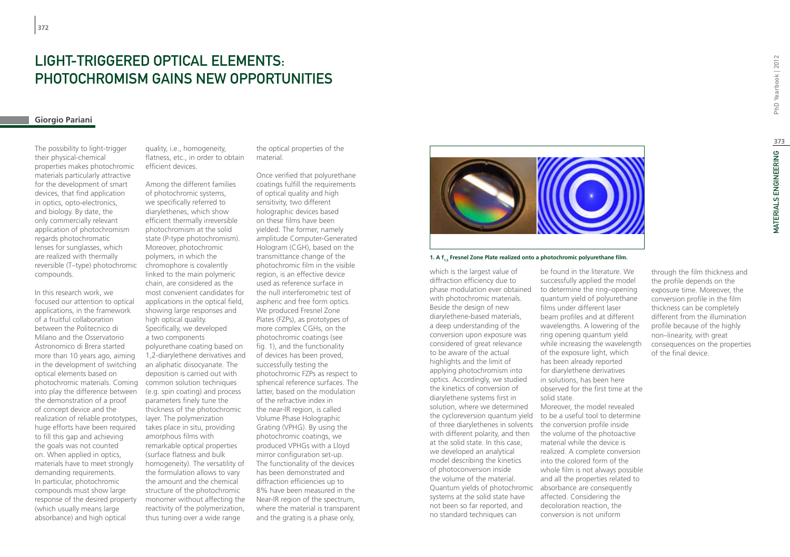# LIGHT-TRIGGERED OPTICAL ELEMENTS. Photochromism gains new Opportunities

## **Giorgio Pariani**

The possibility to light-trigger their physical-chemical properties makes photochromic materials particularly attractive for the development of smart devices, that find application in optics, opto-electronics, and biology. By date, the only commercially relevant application of photochromism regards photochromatic lenses for sunglasses, which are realized with thermally reversible (T–type) photochromic compounds.

In this research work, we focused our attention to optical applications, in the framework of a fruitful collaboration between the Politecnico di Milano and the Osservatorio Astronomico di Brera started more than 10 years ago, aiming in the development of switching optical elements based on photochromic materials. Coming into play the difference between the demonstration of a proof of concept device and the realization of reliable prototypes, huge efforts have been required to fill this gap and achieving the goals was not counted on. When applied in optics, materials have to meet strongly demanding requirements. In particular, photochromic compounds must show large response of the desired property (which usually means large absorbance) and high optical

quality, i.e., homogeneity, flatness, etc., in order to obtain efficient devices.

Among the different families of photochromic systems, we specifically referred to diarylethenes, which show efficient thermally irreversible photochromism at the solid state (P-type photochromism). Moreover, photochromic polymers, in which the chromophore is covalently linked to the main polymeric chain, are considered as the most convenient candidates for applications in the optical field, showing large responses and high optical quality. Specifically, we developed a two components polyurethane coating based on 1,2-diarylethene derivatives and an aliphatic diisocyanate. The deposition is carried out with common solution techniques (e.g. spin coating) and process parameters finely tune the thickness of the photochromic layer. The polymerization takes place in situ, providing amorphous films with remarkable optical properties (surface flatness and bulk homogeneity). The versatility of the formulation allows to vary the amount and the chemical structure of the photochromic monomer without affecting the reactivity of the polymerization, thus tuning over a wide range

the optical properties of the material.

Once verified that polyurethane coatings fulfill the requirements of optical quality and high sensitivity, two different holographic devices based on these films have been yielded. The former, namely amplitude Computer-Generated Hologram (CGH), based on the transmittance change of the photochromic film in the visible region, is an effective device used as reference surface in the null interferometric test of aspheric and free form optics. We produced Fresnel Zone Plates (FZPs), as prototypes of more complex CGHs, on the photochromic coatings (see fig. 1), and the functionality of devices has been proved, successfully testing the photochromic FZPs as respect to spherical reference surfaces. The latter, based on the modulation of the refractive index in the near-IR region, is called Volume Phase Holographic Grating (VPHG). By using the photochromic coatings, we produced VPHGs with a Lloyd mirror configuration set-up. The functionality of the devices has been demonstrated and diffraction efficiencies up to 8% have been measured in the Near-IR region of the spectrum, where the material is transparent and the grating is a phase only,



## **1. A f<sub>1.5</sub> Fresnel Zone Plate realized onto a photochromic polyurethane film.**

of three diarylethenes in solvents the conversion profile inside Quantum yields of photochromic absorbance are consequently which is the largest value of diffraction efficiency due to phase modulation ever obtained with photochromic materials. Beside the design of new diarylethene-based materials, a deep understanding of the conversion upon exposure was considered of great relevance to be aware of the actual highlights and the limit of applying photochromism into optics. Accordingly, we studied the kinetics of conversion of diarylethene systems first in solution, where we determined the cycloreversion quantum yield with different polarity, and then at the solid state. In this case, we developed an analytical model describing the kinetics of photoconversion inside the volume of the material. systems at the solid state have not been so far reported, and no standard techniques can

be found in the literature. We successfully applied the model to determine the ring–opening quantum yield of polyurethane films under different laser beam profiles and at different wavelengths. A lowering of the ring opening quantum yield while increasing the wavelength of the exposure light, which has been already reported for diarylethene derivatives in solutions, has been here observed for the first time at the solid state. Moreover, the model revealed to be a useful tool to determine the volume of the photoactive material while the device is realized. A complete conversion into the colored form of the whole film is not always possible and all the properties related to affected. Considering the

decoloration reaction, the conversion is not uniform

through the film thickness and the profile depends on the exposure time. Moreover, the conversion profile in the film thickness can be completely different from the illumination profile because of the highly non–linearity, with great consequences on the properties of the final device.